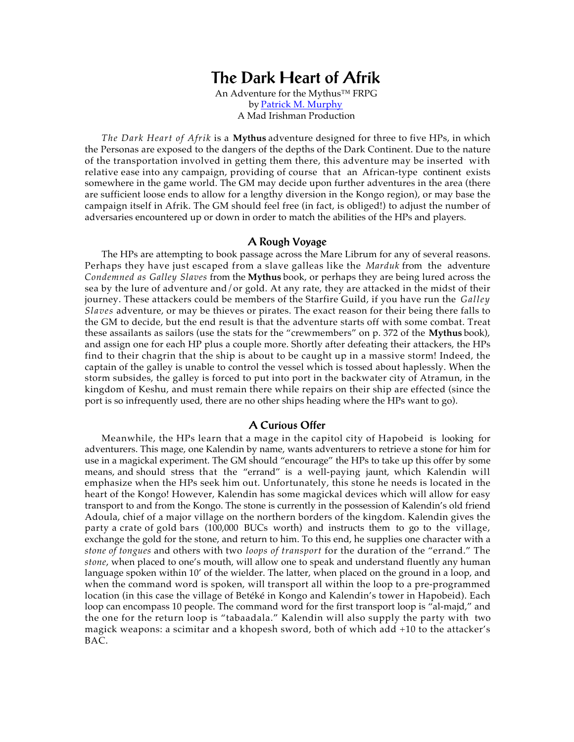# **The Dark Heart of Afrik**

An Adventure for the Mythus™ FRPG by [Patrick M. Murphy](mailto: madirishman@mad-irishman.net)  [A Mad Irishman Production](http://www.mad-irishman.net)

*The Dark Heart of Afrik* is a **Mythus** adventure designed for three to five HPs, in which the Personas are exposed to the dangers of the depths of the Dark Continent. Due to the nature of the transportation involved in getting them there, this adventure may be inserted with relative ease into any campaign, providing of course that an African-type continent exists somewhere in the game world. The GM may decide upon further adventures in the area (there are sufficient loose ends to allow for a lengthy diversion in the Kongo region), or may base the campaign itself in Afrik. The GM should feel free (in fact, is obliged!) to adjust the number of adversaries encountered up or down in order to match the abilities of the HPs and players.

## **A Rough Voyage**

The HPs are attempting to book passage across the Mare Librum for any of several reasons. Perhaps they have just escaped from a slave galleas like the *Marduk* from the adventure *Condemned as Galley Slaves* from the **Mythus** book, or perhaps they are being lured across the sea by the lure of adventure and/or gold. At any rate, they are attacked in the midst of their journey. These attackers could be members of the Starfire Guild, if you have run the *Galley Slaves* adventure, or may be thieves or pirates. The exact reason for their being there falls to the GM to decide, but the end result is that the adventure starts off with some combat. Treat these assailants as sailors (use the stats for the "crewmembers" on p. 372 of the **Mythus** book), and assign one for each HP plus a couple more. Shortly after defeating their attackers, the HPs find to their chagrin that the ship is about to be caught up in a massive storm! Indeed, the captain of the galley is unable to control the vessel which is tossed about haplessly. When the storm subsides, the galley is forced to put into port in the backwater city of Atramun, in the kingdom of Keshu, and must remain there while repairs on their ship are effected (since the port is so infrequently used, there are no other ships heading where the HPs want to go).

# **A Curious Offer**

Meanwhile, the HPs learn that a mage in the capitol city of Hapobeid is looking for adventurers. This mage, one Kalendin by name, wants adventurers to retrieve a stone for him for use in a magickal experiment. The GM should "encourage" the HPs to take up this offer by some means, and should stress that the "errand" is a well-paying jaunt, which Kalendin will emphasize when the HPs seek him out. Unfortunately, this stone he needs is located in the heart of the Kongo! However, Kalendin has some magickal devices which will allow for easy transport to and from the Kongo. The stone is currently in the possession of Kalendin's old friend Adoula, chief of a major village on the northern borders of the kingdom. Kalendin gives the party a crate of gold bars (100,000 BUCs worth) and instructs them to go to the village, exchange the gold for the stone, and return to him. To this end, he supplies one character with a *stone of tongues* and others with two *loops of transport* for the duration of the "errand." The *stone*, when placed to one's mouth, will allow one to speak and understand fluently any human language spoken within 10' of the wielder. The latter, when placed on the ground in a loop, and when the command word is spoken, will transport all within the loop to a pre-programmed location (in this case the village of Betéké in Kongo and Kalendin's tower in Hapobeid). Each loop can encompass 10 people. The command word for the first transport loop is "al-majd," and the one for the return loop is "tabaadala." Kalendin will also supply the party with two magick weapons: a scimitar and a khopesh sword, both of which add +10 to the attacker's BAC.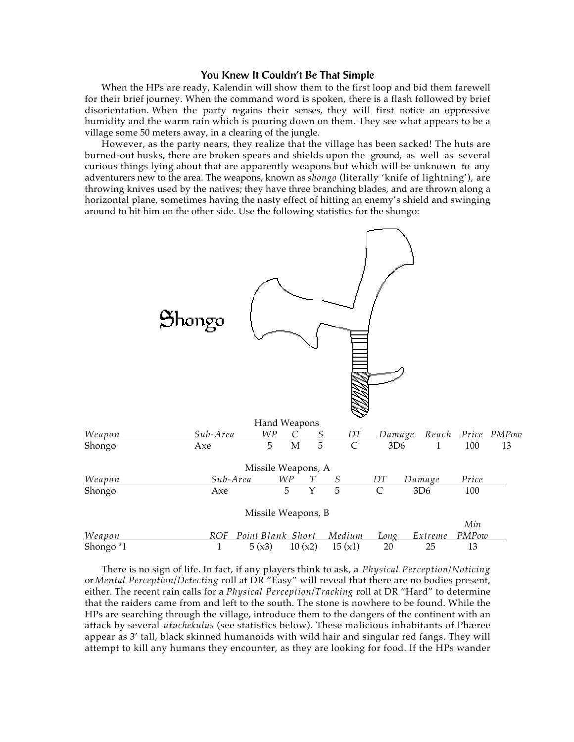## **You Knew It Couldn't Be That Simple**

When the HPs are ready, Kalendin will show them to the first loop and bid them farewell for their brief journey. When the command word is spoken, there is a flash followed by brief disorientation. When the party regains their senses, they will first notice an oppressive humidity and the warm rain which is pouring down on them. They see what appears to be a village some 50 meters away, in a clearing of the jungle.

However, as the party nears, they realize that the village has been sacked! The huts are burned-out husks, there are broken spears and shields upon the ground, as well as several curious things lying about that are apparently weapons but which will be unknown to any adventurers new to the area. The weapons, known as *shongo* (literally 'knife of lightning'), are throwing knives used by the natives; they have three branching blades, and are thrown along a horizontal plane, sometimes having the nasty effect of hitting an enemy's shield and swinging around to hit him on the other side. Use the following statistics for the shongo:



There is no sign of life. In fact, if any players think to ask, a *Physical Perception/Noticing* or *Mental Perception/Detecting* roll at DR "Easy" will reveal that there are no bodies present, either. The recent rain calls for a *Physical Perception/Tracking* roll at DR "Hard" to determine that the raiders came from and left to the south. The stone is nowhere to be found. While the HPs are searching through the village, introduce them to the dangers of the continent with an attack by several *utuchekulus* (see statistics below). These malicious inhabitants of Phæree appear as 3' tall, black skinned humanoids with wild hair and singular red fangs. They will attempt to kill any humans they encounter, as they are looking for food. If the HPs wander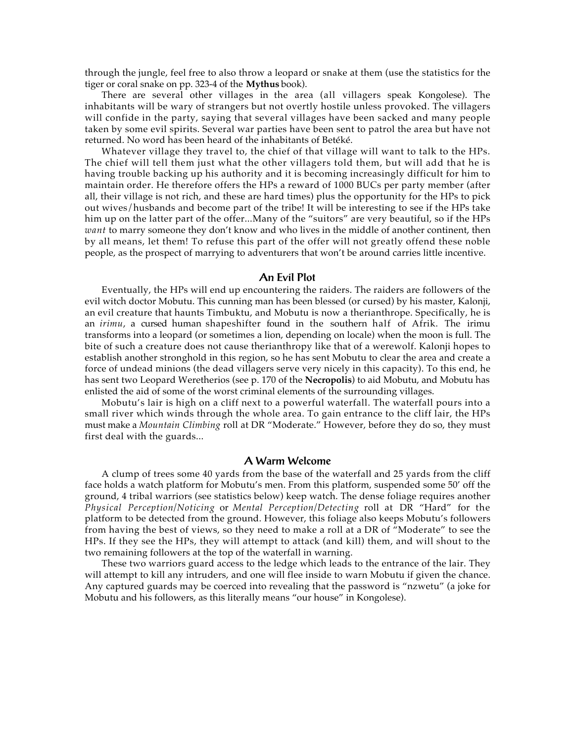through the jungle, feel free to also throw a leopard or snake at them (use the statistics for the tiger or coral snake on pp. 323-4 of the **Mythus** book).

There are several other villages in the area (all villagers speak Kongolese). The inhabitants will be wary of strangers but not overtly hostile unless provoked. The villagers will confide in the party, saying that several villages have been sacked and many people taken by some evil spirits. Several war parties have been sent to patrol the area but have not returned. No word has been heard of the inhabitants of Betéké.

Whatever village they travel to, the chief of that village will want to talk to the HPs. The chief will tell them just what the other villagers told them, but will add that he is having trouble backing up his authority and it is becoming increasingly difficult for him to maintain order. He therefore offers the HPs a reward of 1000 BUCs per party member (after all, their village is not rich, and these are hard times) plus the opportunity for the HPs to pick out wives/husbands and become part of the tribe! It will be interesting to see if the HPs take him up on the latter part of the offer...Many of the "suitors" are very beautiful, so if the HPs *want* to marry someone they don't know and who lives in the middle of another continent, then by all means, let them! To refuse this part of the offer will not greatly offend these noble people, as the prospect of marrying to adventurers that won't be around carries little incentive.

# **An Evil Plot**

Eventually, the HPs will end up encountering the raiders. The raiders are followers of the evil witch doctor Mobutu. This cunning man has been blessed (or cursed) by his master, Kalonji, an evil creature that haunts Timbuktu, and Mobutu is now a therianthrope. Specifically, he is an *irimu*, a cursed human shapeshifter found in the southern half of Afrik. The irimu transforms into a leopard (or sometimes a lion, depending on locale) when the moon is full. The bite of such a creature does not cause therianthropy like that of a werewolf. Kalonji hopes to establish another stronghold in this region, so he has sent Mobutu to clear the area and create a force of undead minions (the dead villagers serve very nicely in this capacity). To this end, he has sent two Leopard Weretherios (see p. 170 of the **Necropolis**) to aid Mobutu, and Mobutu has enlisted the aid of some of the worst criminal elements of the surrounding villages.

Mobutu's lair is high on a cliff next to a powerful waterfall. The waterfall pours into a small river which winds through the whole area. To gain entrance to the cliff lair, the HPs must make a *Mountain Climbing* roll at DR "Moderate." However, before they do so, they must first deal with the guards...

# **A Warm Welcome**

A clump of trees some 40 yards from the base of the waterfall and 25 yards from the cliff face holds a watch platform for Mobutu's men. From this platform, suspended some 50' off the ground, 4 tribal warriors (see statistics below) keep watch. The dense foliage requires another *Physical Perception/Noticing* or *Mental Perception/Detecting* roll at DR "Hard" for the platform to be detected from the ground. However, this foliage also keeps Mobutu's followers from having the best of views, so they need to make a roll at a DR of "Moderate" to see the HPs. If they see the HPs, they will attempt to attack (and kill) them, and will shout to the two remaining followers at the top of the waterfall in warning.

These two warriors guard access to the ledge which leads to the entrance of the lair. They will attempt to kill any intruders, and one will flee inside to warn Mobutu if given the chance. Any captured guards may be coerced into revealing that the password is "nzwetu" (a joke for Mobutu and his followers, as this literally means "our house" in Kongolese).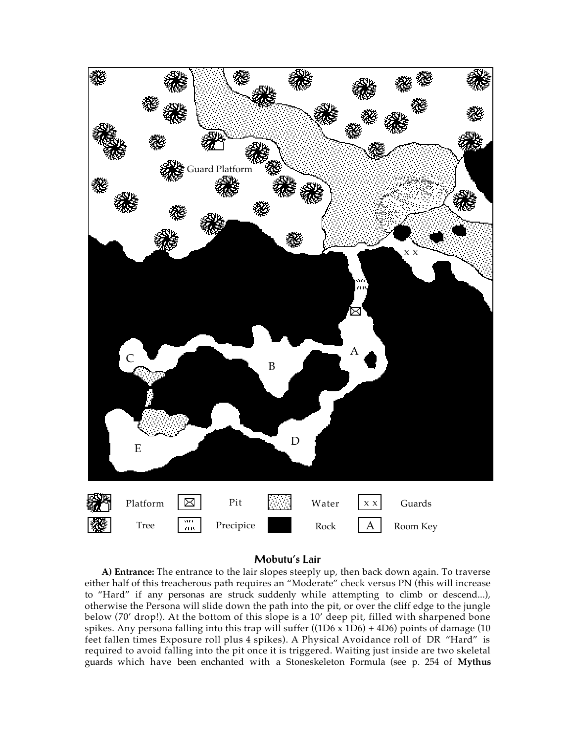

# **Mobutu's Lair**

**A) Entrance:** The entrance to the lair slopes steeply up, then back down again. To traverse either half of this treacherous path requires an "Moderate" check versus PN (this will increase to "Hard" if any personas are struck suddenly while attempting to climb or descend...), otherwise the Persona will slide down the path into the pit, or over the cliff edge to the jungle below (70' drop!). At the bottom of this slope is a 10' deep pit, filled with sharpened bone spikes. Any persona falling into this trap will suffer ((1D6 x 1D6) + 4D6) points of damage (10 feet fallen times Exposure roll plus 4 spikes). A Physical Avoidance roll of DR "Hard" is required to avoid falling into the pit once it is triggered. Waiting just inside are two skeletal guards which have been enchanted with a Stoneskeleton Formula (see p. 254 of **Mythus**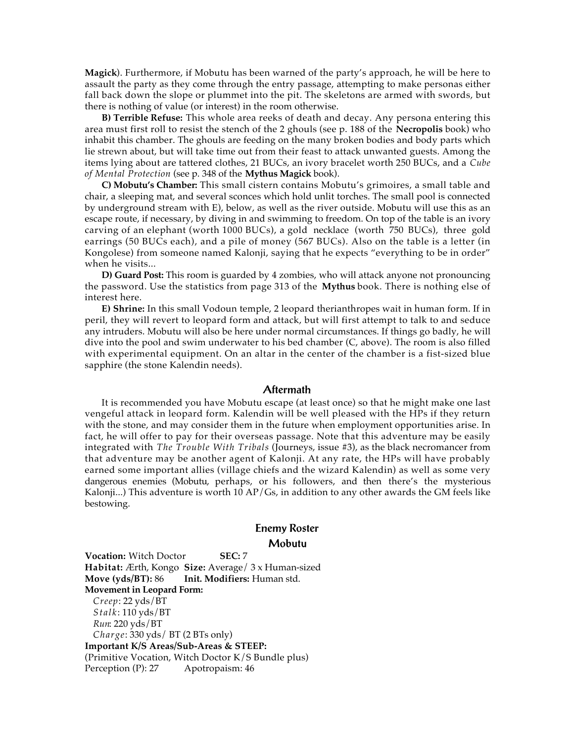**Magick**). Furthermore, if Mobutu has been warned of the party's approach, he will be here to assault the party as they come through the entry passage, attempting to make personas either fall back down the slope or plummet into the pit. The skeletons are armed with swords, but there is nothing of value (or interest) in the room otherwise.

**B) Terrible Refuse:** This whole area reeks of death and decay. Any persona entering this area must first roll to resist the stench of the 2 ghouls (see p. 188 of the **Necropolis** book) who inhabit this chamber. The ghouls are feeding on the many broken bodies and body parts which lie strewn about, but will take time out from their feast to attack unwanted guests. Among the items lying about are tattered clothes, 21 BUCs, an ivory bracelet worth 250 BUCs, and a *Cube of Mental Protection* (see p. 348 of the **Mythus Magick** book).

**C) Mobutu's Chamber:** This small cistern contains Mobutu's grimoires, a small table and chair, a sleeping mat, and several sconces which hold unlit torches. The small pool is connected by underground stream with E), below, as well as the river outside. Mobutu will use this as an escape route, if necessary, by diving in and swimming to freedom. On top of the table is an ivory carving of an elephant (worth 1000 BUCs), a gold necklace (worth 750 BUCs), three gold earrings (50 BUCs each), and a pile of money (567 BUCs). Also on the table is a letter (in Kongolese) from someone named Kalonji, saying that he expects "everything to be in order" when he visits...

**D) Guard Post:** This room is guarded by 4 zombies, who will attack anyone not pronouncing the password. Use the statistics from page 313 of the **Mythus** book. There is nothing else of interest here.

**E) Shrine:** In this small Vodoun temple, 2 leopard therianthropes wait in human form. If in peril, they will revert to leopard form and attack, but will first attempt to talk to and seduce any intruders. Mobutu will also be here under normal circumstances. If things go badly, he will dive into the pool and swim underwater to his bed chamber (C, above). The room is also filled with experimental equipment. On an altar in the center of the chamber is a fist-sized blue sapphire (the stone Kalendin needs).

#### **Aftermath**

It is recommended you have Mobutu escape (at least once) so that he might make one last vengeful attack in leopard form. Kalendin will be well pleased with the HPs if they return with the stone, and may consider them in the future when employment opportunities arise. In fact, he will offer to pay for their overseas passage. Note that this adventure may be easily integrated with *The Trouble With Tribals* (Journeys, issue #3), as the black necromancer from that adventure may be another agent of Kalonji. At any rate, the HPs will have probably earned some important allies (village chiefs and the wizard Kalendin) as well as some very dangerous enemies (Mobutu, perhaps, or his followers, and then there's the mysterious Kalonji...) This adventure is worth 10 AP/Gs, in addition to any other awards the GM feels like bestowing.

# **Enemy Roster Mobutu**

**Vocation:** Witch Doctor **SEC:** 7 **Habitat:** Ærth, Kongo **Size:** Average/ 3 x Human-sized **Move (yds/BT):** 86 **Init. Modifiers:** Human std. **Movement in Leopard Form:** *Creep*: 22 yds/BT *Stalk*: 110 yds/BT *Run*: 220 yds/BT *Charge*: 330 yds/ BT (2 BTs only) **Important K/S Areas/Sub-Areas & STEEP:** (Primitive Vocation, Witch Doctor K/S Bundle plus) Perception (P): 27 Apotropaism: 46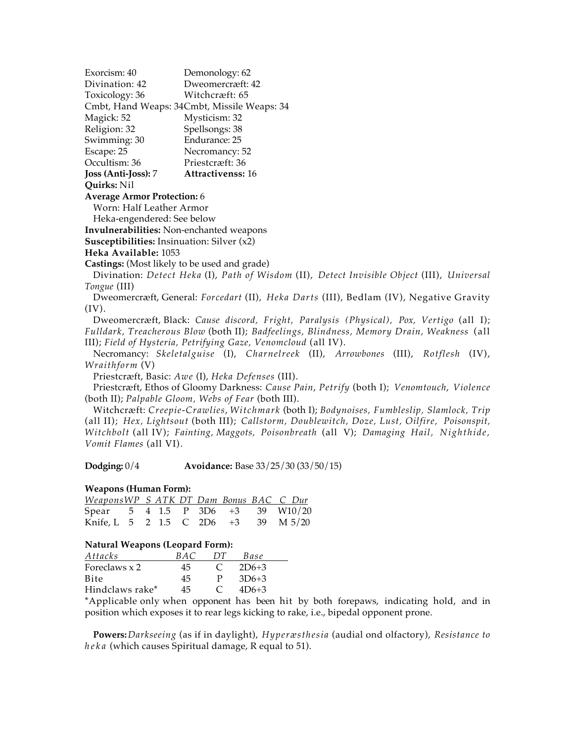Exorcism: 40 Demonology: 62 Divination: 42 Dweomercræft: 42 Toxicology: 36 Witchcræft: 65 Cmbt, Hand Weaps: 34Cmbt, Missile Weaps: 34 Magick: 52 Mysticism: 32 Religion: 32 Spellsongs: 38 Swimming: 30 Endurance: 25 Escape: 25 Necromancy: 52 Occultism: 36 Priestcræft: 36 **Joss (Anti-Joss):** 7 **Attractivenss:** 16 **Quirks:** Nil **Average Armor Protection:** 6 Worn: Half Leather Armor Heka-engendered: See below **Invulnerabilities:** Non-enchanted weapons **Susceptibilities:** Insinuation: Silver (x2) **Heka Available:** 1053 **Castings:** (Most likely to be used and grade) Divination: *Detect Heka* (I), *Path of Wisdom* (II), *Detect Invisible Object* (III), *Universal Tongue* (III)

Dweomercræft, General: *Forcedart* (II), *Heka Darts* (III), Bedlam (IV), Negative Gravity (IV).

Dweomercræft, Black: *Cause discord, Fright, Paralysis (Physical), Pox, Vertigo* (all I); *Fulldark, Treacherous Blow* (both II); *Badfeelings, Blindness, Memory Drain, Weakness* (all III); *Field of Hysteria, Petrifying Gaze, Venomcloud* (all IV).

Necromancy: *Skeletalguise* (I), *Charnelreek* (II), *Arrowbones* (III), *Rotflesh* (IV), *Wraithform* (V)

Priestcræft, Basic: *Awe* (I), *Heka Defenses* (III).

Priestcræft, Ethos of Gloomy Darkness: *Cause Pain*, *Petrify* (both I); *Venomtouch*, *Violence* (both II); *Palpable Gloom, Webs of Fear* (both III).

Witchcræft: *Creepie-Crawlies*, *Witchmark* (both I); *Bodynoises, Fumbleslip, Slamlock, Trip* (all II); *Hex, Lightsout* (both III); *Callstorm, Doublewitch, Doze, Lust, Oilfire, Poisonspit, Witchbolt* (all IV); *Fainting, Maggots, Poisonbreath* (all V); *Damaging Hail, Nighthide, Vomit Flames* (all VI).

**Dodging:** 0/4 **Avoidance:** Base 33/25/30 (33/50/15)

## **Weapons (Human Form):**

| WeaponsWP S ATK DT Dam Bonus BAC C Dur |  |  |  |  |
|----------------------------------------|--|--|--|--|
| Spear 5 4 1.5 P 3D6 +3 39 W10/20       |  |  |  |  |
| Knife, L 5 2 1.5 C 2D6 $+3$ 39 M 5/20  |  |  |  |  |

## **Natural Weapons (Leopard Form):**

| Attacks         | B A C | 1 Y F      | Base    |  |
|-----------------|-------|------------|---------|--|
| Foreclaws x 2   | 45    | $\epsilon$ | $2D6+3$ |  |
| Bite            | 45    | P          | $3D6+3$ |  |
| Hindclaws rake* | 45    | $\epsilon$ | $4D6+3$ |  |
|                 |       |            |         |  |

\*Applicable only when opponent has been hit by both forepaws, indicating hold, and in position which exposes it to rear legs kicking to rake, i.e., bipedal opponent prone.

**Powers:***Darkseeing* (as if in daylight), *Hyperæsthesia* (audial ond olfactory), *Resistance to heka* (which causes Spiritual damage, R equal to 51).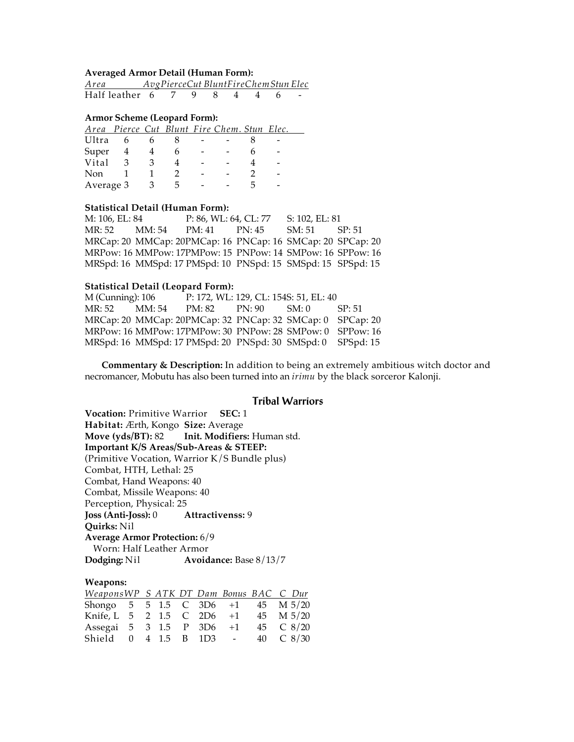# **Averaged Armor Detail (Human Form):**

| Area               |  | AvgPierceCut BluntFireChemStun Elec |  |  |
|--------------------|--|-------------------------------------|--|--|
| Half leather 6 7 9 |  |                                     |  |  |

#### **Armor Scheme (Leopard Form):**

|           |   |  | Area Pierce Cut Blunt Fire Chem. Stun Elec. |  |
|-----------|---|--|---------------------------------------------|--|
| Ultra     |   |  |                                             |  |
| Super     |   |  |                                             |  |
| Vital     | વ |  |                                             |  |
| Non       |   |  |                                             |  |
| Average 3 |   |  |                                             |  |

#### **Statistical Detail (Human Form):**

M: 106, EL: 84 P: 86, WL: 64, CL: 77 S: 102, EL: 81 MR: 52 MM: 54 PM: 41 PN: 45 SM: 51 SP: 51 MRCap: 20 MMCap: 20PMCap: 16 PNCap: 16 SMCap: 20 SPCap: 20 MRPow: 16 MMPow: 17PMPow: 15 PNPow: 14 SMPow: 16 SPPow: 16 MRSpd: 16 MMSpd: 17 PMSpd: 10 PNSpd: 15 SMSpd: 15 SPSpd: 15

#### **Statistical Detail (Leopard Form):**

M (Cunning): 106 P: 172, WL: 129, CL: 154S: 51, EL: 40 MR: 52 MM: 54 PM: 82 PN: 90 SM: 0 SP: 51 MRCap: 20 MMCap: 20PMCap: 32 PNCap: 32 SMCap: 0 SPCap: 20 MRPow: 16 MMPow: 17PMPow: 30 PNPow: 28 SMPow: 0 SPPow: 16 MRSpd: 16 MMSpd: 17 PMSpd: 20 PNSpd: 30 SMSpd: 0 SPSpd: 15

**Commentary & Description:** In addition to being an extremely ambitious witch doctor and necromancer, Mobutu has also been turned into an *irimu* by the black sorceror Kalonji.

## **Tribal Warriors**

**Vocation:** Primitive Warrior **SEC:** 1 **Habitat:** Ærth, Kongo **Size:** Average **Move (yds/BT):** 82 **Init. Modifiers:** Human std. **Important K/S Areas/Sub-Areas & STEEP:** (Primitive Vocation, Warrior K/S Bundle plus) Combat, HTH, Lethal: 25 Combat, Hand Weapons: 40 Combat, Missile Weapons: 40 Perception, Physical: 25 **Joss (Anti-Joss):** 0 **Attractivenss:** 9 **Quirks:** Nil **Average Armor Protection:** 6/9 Worn: Half Leather Armor **Dodging:** Nil **Avoidance:** Base 8/13/7

## **Weapons:**

| WeaponsWP S ATK DT Dam Bonus BAC C Dur |  |  |  |                |
|----------------------------------------|--|--|--|----------------|
| Shongo 5 5 1.5 C 3D6 +1 45 M 5/20      |  |  |  |                |
| Knife, L 5 2 1.5 C 2D6 +1 45 M 5/20    |  |  |  |                |
| Assegai 5 3 1.5 P 3D6 +1 45 C 8/20     |  |  |  |                |
| Shield 0 4 1.5 B 1D3 -                 |  |  |  | 40 $\,$ C 8/30 |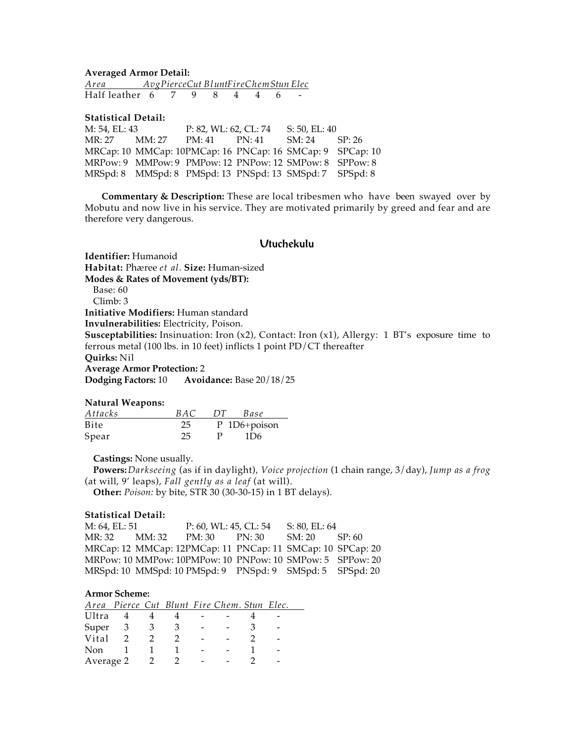**Averaged Armor Detail:** *Area Avg Pierce Cut Bl unt Fire Chem Stun Elec*  Half leather 6 7 9 8 4 4 6

**Statistical Detail:**

M: 54, EL: 43 <br>
MR: 27 <br>
MM: 27 <br>
PM: 41 <br>
PN: 41 <br>
SM: 24 MM: 27 PM: 41 PN: 41 SM: 24 SP: 26 MRCap: 10 MMCap: 10PMCap: 16 PNCap: 16 SMCap: 9 SPCap: 10 MRPow: 9 MMPow: 9 PMPow: 12 PNPow: 12 SMPow: 8 SPPow: 8 MRSpd: 8 MMSpd: 8 PMSpd: 13 PNSpd: 13 SMSpd: 7 SPSpd: 8

**Commentary & Description:** These are local tribesmen who have been swayed over by Mobutu and now live in his service. They are motivated primarily by greed and fear and are therefore very dangerous.

# **Utuchekulu**

**Identifier:** Humanoid **Habitat:** Phæree *et al.* **Size:** Human-sized **Modes & Rates of Movement (yds/BT):** Base: 60 Climb: 3 **Initiative Modifiers:** Human standard **Invulnerabilities:** Electricity, Poison. **Susceptabilities:** Insinuation: Iron (x2), Contact: Iron (x1), Allergy: 1 BT's exposure time to ferrous metal (100 lbs. in 10 feet) inflicts 1 point PD/CT thereafter **Quirks:** Nil **Average Armor Protection:** 2 **Dodging Factors:** 10 **Avoidance:** Base 20/18/25

## **Natural Weapons:**

| Attacks | R A C | 1 Y F | Base         |
|---------|-------|-------|--------------|
| Bite    | 25    |       | P 1D6+poison |
| Spear   | 25.   | P     |              |

**Castings:** None usually.

**Powers:***Darkseeing* (as if in daylight), *Voice projection* (1 chain range, 3/day), *Jump as a frog* (at will, 9' leaps), *Fall gently as a leaf* (at will). **Other:** *Poison:* by bite, STR 30 (30-30-15) in 1 BT delays).

## **Statistical Detail:**

M: 64, EL: 51 P: 60, WL: 45, CL: 54 S: 80, EL: 64 MR: 32 MM: 32 PM: 30 PN: 30 SM: 20 SP: 60 MRCap: 12 MMCap: 12PMCap: 11 PNCap: 11 SMCap: 10 SPCap: 20 MRPow: 10 MMPow: 10PMPow: 10 PNPow: 10 SMPow: 5 SPPow: 20 MRSpd: 10 MMSpd: 10 PMSpd: 9 PNSpd: 9 SMSpd: 5 SPSpd: 20

#### **Armor Scheme:**

|           | Area Pierce Cut Blunt Fire Chem. Stun Elec. |  |  |  |  |
|-----------|---------------------------------------------|--|--|--|--|
| Ultra     |                                             |  |  |  |  |
| Super     | - 3                                         |  |  |  |  |
| Vital     |                                             |  |  |  |  |
| Non       |                                             |  |  |  |  |
| Average 2 |                                             |  |  |  |  |